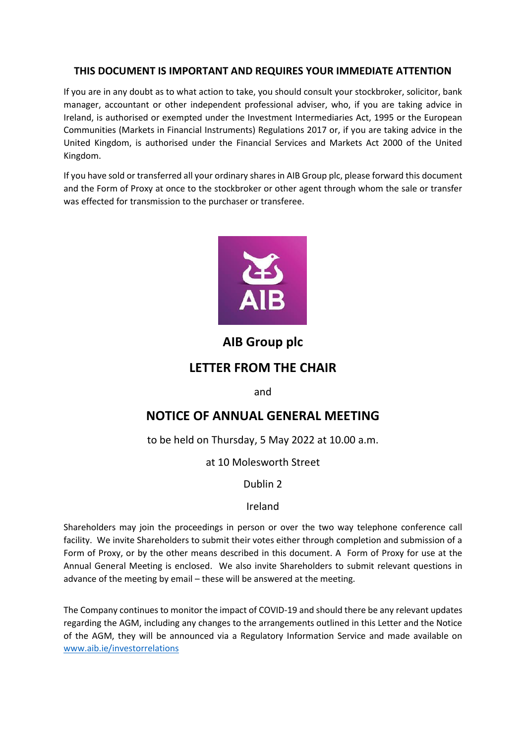## **THIS DOCUMENT IS IMPORTANT AND REQUIRES YOUR IMMEDIATE ATTENTION**

If you are in any doubt as to what action to take, you should consult your stockbroker, solicitor, bank manager, accountant or other independent professional adviser, who, if you are taking advice in Ireland, is authorised or exempted under the Investment Intermediaries Act, 1995 or the European Communities (Markets in Financial Instruments) Regulations 2017 or, if you are taking advice in the United Kingdom, is authorised under the Financial Services and Markets Act 2000 of the United Kingdom.

If you have sold or transferred all your ordinary shares in AIB Group plc, please forward this document and the Form of Proxy at once to the stockbroker or other agent through whom the sale or transfer was effected for transmission to the purchaser or transferee.



## **AIB Group plc**

## **LETTER FROM THE CHAIR**

and

# **NOTICE OF ANNUAL GENERAL MEETING**

to be held on Thursday, 5 May 2022 at 10.00 a.m.

at 10 Molesworth Street

## Dublin 2

## Ireland

Shareholders may join the proceedings in person or over the two way telephone conference call facility. We invite Shareholders to submit their votes either through completion and submission of a Form of Proxy, or by the other means described in this document. A Form of Proxy for use at the Annual General Meeting is enclosed. We also invite Shareholders to submit relevant questions in advance of the meeting by email – these will be answered at the meeting.

The Company continues to monitor the impact of COVID-19 and should there be any relevant updates regarding the AGM, including any changes to the arrangements outlined in this Letter and the Notice of the AGM, they will be announced via a Regulatory Information Service and made available on [www.aib.ie/investorrelations](http://www.aib.ie/investorrelations)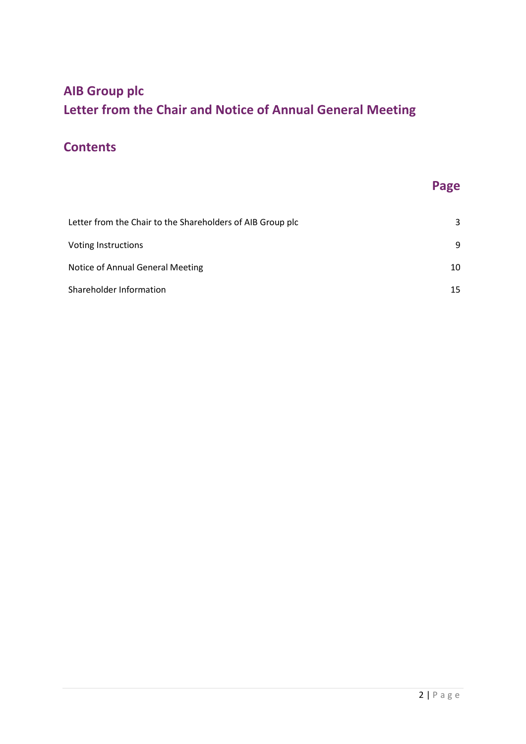# **AIB Group plc Letter from the Chair and Notice of Annual General Meeting**

# **Contents**

# **Page**

| Letter from the Chair to the Shareholders of AIB Group plc | 3               |
|------------------------------------------------------------|-----------------|
| Voting Instructions                                        | 9               |
| Notice of Annual General Meeting                           | 10              |
| Shareholder Information                                    | 15 <sub>1</sub> |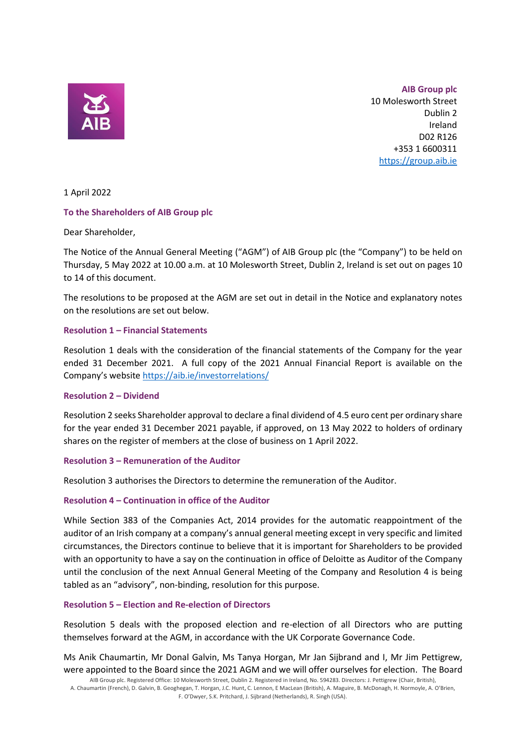

**AIB Group plc** 10 Molesworth Street Dublin 2 Ireland D02 R126 +353 1 6600311 [https://group.aib.ie](https://group.aib.ie/)

1 April 2022

#### **To the Shareholders of AIB Group plc**

#### Dear Shareholder,

The Notice of the Annual General Meeting ("AGM") of AIB Group plc (the "Company") to be held on Thursday, 5 May 2022 at 10.00 a.m. at 10 Molesworth Street, Dublin 2, Ireland is set out on pages 10 to 14 of this document.

The resolutions to be proposed at the AGM are set out in detail in the Notice and explanatory notes on the resolutions are set out below.

#### **Resolution 1 – Financial Statements**

Resolution 1 deals with the consideration of the financial statements of the Company for the year ended 31 December 2021. A full copy of the 2021 Annual Financial Report is available on the Company's website <https://aib.ie/investorrelations/>

#### **Resolution 2 – Dividend**

Resolution 2 seeks Shareholder approval to declare a final dividend of 4.5 euro cent per ordinary share for the year ended 31 December 2021 payable, if approved, on 13 May 2022 to holders of ordinary shares on the register of members at the close of business on 1 April 2022.

#### **Resolution 3 – Remuneration of the Auditor**

Resolution 3 authorises the Directors to determine the remuneration of the Auditor.

#### **Resolution 4 – Continuation in office of the Auditor**

While Section 383 of the Companies Act, 2014 provides for the automatic reappointment of the auditor of an Irish company at a company's annual general meeting except in very specific and limited circumstances, the Directors continue to believe that it is important for Shareholders to be provided with an opportunity to have a say on the continuation in office of Deloitte as Auditor of the Company until the conclusion of the next Annual General Meeting of the Company and Resolution 4 is being tabled as an "advisory", non-binding, resolution for this purpose.

#### **Resolution 5 – Election and Re-election of Directors**

Resolution 5 deals with the proposed election and re-election of all Directors who are putting themselves forward at the AGM, in accordance with the UK Corporate Governance Code.

Ms Anik Chaumartin, Mr Donal Galvin, Ms Tanya Horgan, Mr Jan Sijbrand and I, Mr Jim Pettigrew, were appointed to the Board since the 2021 AGM and we will offer ourselves for election. The Board

AIB Group plc. Registered Office: 10 Molesworth Street, Dublin 2. Registered in Ireland, No. 594283. Directors: J. Pettigrew (Chair, British), A. Chaumartin (French), D. Galvin, B. Geoghegan, T. Horgan, J.C. Hunt, C. Lennon, E MacLean (British), A. Maguire, B. McDonagh, H. Normoyle, A. O'Brien, F. O'Dwyer, S.K. Pritchard, J. Sijbrand (Netherlands), R. Singh (USA).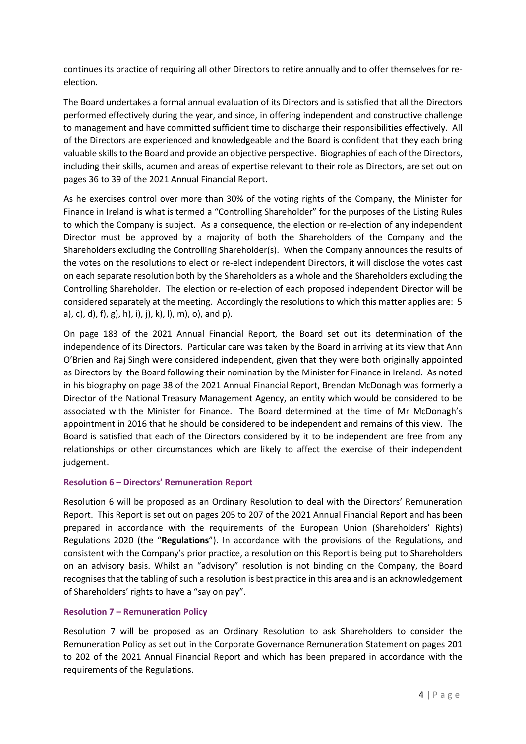continues its practice of requiring all other Directors to retire annually and to offer themselves for reelection.

The Board undertakes a formal annual evaluation of its Directors and is satisfied that all the Directors performed effectively during the year, and since, in offering independent and constructive challenge to management and have committed sufficient time to discharge their responsibilities effectively. All of the Directors are experienced and knowledgeable and the Board is confident that they each bring valuable skills to the Board and provide an objective perspective. Biographies of each of the Directors, including their skills, acumen and areas of expertise relevant to their role as Directors, are set out on pages 36 to 39 of the 2021 Annual Financial Report.

As he exercises control over more than 30% of the voting rights of the Company, the Minister for Finance in Ireland is what is termed a "Controlling Shareholder" for the purposes of the Listing Rules to which the Company is subject. As a consequence, the election or re-election of any independent Director must be approved by a majority of both the Shareholders of the Company and the Shareholders excluding the Controlling Shareholder(s). When the Company announces the results of the votes on the resolutions to elect or re-elect independent Directors, it will disclose the votes cast on each separate resolution both by the Shareholders as a whole and the Shareholders excluding the Controlling Shareholder. The election or re-election of each proposed independent Director will be considered separately at the meeting. Accordingly the resolutions to which this matter applies are: 5 a), c), d), f), g), h), i), j), k), l), m), o), and p).

On page 183 of the 2021 Annual Financial Report, the Board set out its determination of the independence of its Directors. Particular care was taken by the Board in arriving at its view that Ann O'Brien and Raj Singh were considered independent, given that they were both originally appointed as Directors by the Board following their nomination by the Minister for Finance in Ireland. As noted in his biography on page 38 of the 2021 Annual Financial Report, Brendan McDonagh was formerly a Director of the National Treasury Management Agency, an entity which would be considered to be associated with the Minister for Finance. The Board determined at the time of Mr McDonagh's appointment in 2016 that he should be considered to be independent and remains of this view. The Board is satisfied that each of the Directors considered by it to be independent are free from any relationships or other circumstances which are likely to affect the exercise of their independent judgement.

#### **Resolution 6 – Directors' Remuneration Report**

Resolution 6 will be proposed as an Ordinary Resolution to deal with the Directors' Remuneration Report. This Report is set out on pages 205 to 207 of the 2021 Annual Financial Report and has been prepared in accordance with the requirements of the European Union (Shareholders' Rights) Regulations 2020 (the "**Regulations**"). In accordance with the provisions of the Regulations, and consistent with the Company's prior practice, a resolution on this Report is being put to Shareholders on an advisory basis. Whilst an "advisory" resolution is not binding on the Company, the Board recognises that the tabling of such a resolution is best practice in this area and is an acknowledgement of Shareholders' rights to have a "say on pay".

#### **Resolution 7 – Remuneration Policy**

Resolution 7 will be proposed as an Ordinary Resolution to ask Shareholders to consider the Remuneration Policy as set out in the Corporate Governance Remuneration Statement on pages 201 to 202 of the 2021 Annual Financial Report and which has been prepared in accordance with the requirements of the Regulations.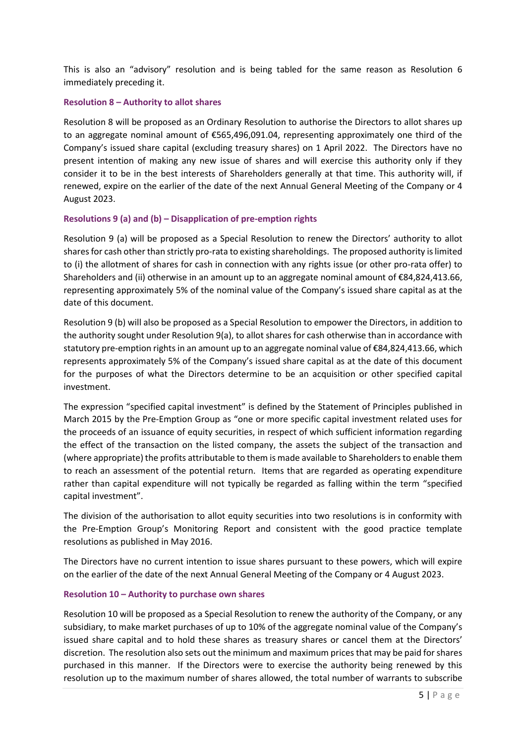This is also an "advisory" resolution and is being tabled for the same reason as Resolution 6 immediately preceding it.

#### **Resolution 8 – Authority to allot shares**

Resolution 8 will be proposed as an Ordinary Resolution to authorise the Directors to allot shares up to an aggregate nominal amount of €565,496,091.04, representing approximately one third of the Company's issued share capital (excluding treasury shares) on 1 April 2022. The Directors have no present intention of making any new issue of shares and will exercise this authority only if they consider it to be in the best interests of Shareholders generally at that time. This authority will, if renewed, expire on the earlier of the date of the next Annual General Meeting of the Company or 4 August 2023.

#### **Resolutions 9 (a) and (b) – Disapplication of pre-emption rights**

Resolution 9 (a) will be proposed as a Special Resolution to renew the Directors' authority to allot shares for cash other than strictly pro-rata to existing shareholdings. The proposed authority is limited to (i) the allotment of shares for cash in connection with any rights issue (or other pro-rata offer) to Shareholders and (ii) otherwise in an amount up to an aggregate nominal amount of €84,824,413.66, representing approximately 5% of the nominal value of the Company's issued share capital as at the date of this document.

Resolution 9 (b) will also be proposed as a Special Resolution to empower the Directors, in addition to the authority sought under Resolution 9(a), to allot shares for cash otherwise than in accordance with statutory pre-emption rights in an amount up to an aggregate nominal value of €84,824,413.66, which represents approximately 5% of the Company's issued share capital as at the date of this document for the purposes of what the Directors determine to be an acquisition or other specified capital investment.

The expression "specified capital investment" is defined by the Statement of Principles published in March 2015 by the Pre-Emption Group as "one or more specific capital investment related uses for the proceeds of an issuance of equity securities, in respect of which sufficient information regarding the effect of the transaction on the listed company, the assets the subject of the transaction and (where appropriate) the profits attributable to them is made available to Shareholders to enable them to reach an assessment of the potential return. Items that are regarded as operating expenditure rather than capital expenditure will not typically be regarded as falling within the term "specified capital investment".

The division of the authorisation to allot equity securities into two resolutions is in conformity with the Pre-Emption Group's Monitoring Report and consistent with the good practice template resolutions as published in May 2016.

The Directors have no current intention to issue shares pursuant to these powers, which will expire on the earlier of the date of the next Annual General Meeting of the Company or 4 August 2023.

#### **Resolution 10 – Authority to purchase own shares**

Resolution 10 will be proposed as a Special Resolution to renew the authority of the Company, or any subsidiary, to make market purchases of up to 10% of the aggregate nominal value of the Company's issued share capital and to hold these shares as treasury shares or cancel them at the Directors' discretion. The resolution also sets out the minimum and maximum prices that may be paid for shares purchased in this manner. If the Directors were to exercise the authority being renewed by this resolution up to the maximum number of shares allowed, the total number of warrants to subscribe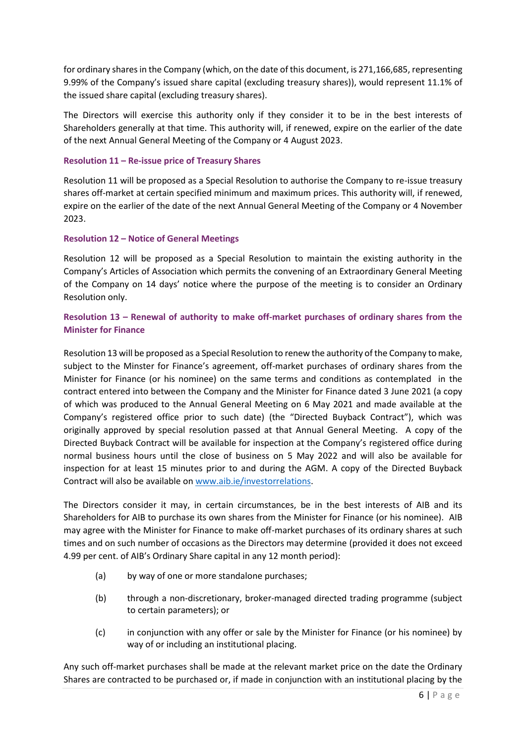for ordinary shares in the Company (which, on the date of this document, is 271,166,685, representing 9.99% of the Company's issued share capital (excluding treasury shares)), would represent 11.1% of the issued share capital (excluding treasury shares).

The Directors will exercise this authority only if they consider it to be in the best interests of Shareholders generally at that time. This authority will, if renewed, expire on the earlier of the date of the next Annual General Meeting of the Company or 4 August 2023.

#### **Resolution 11 – Re-issue price of Treasury Shares**

Resolution 11 will be proposed as a Special Resolution to authorise the Company to re-issue treasury shares off-market at certain specified minimum and maximum prices. This authority will, if renewed, expire on the earlier of the date of the next Annual General Meeting of the Company or 4 November 2023.

#### **Resolution 12 – Notice of General Meetings**

Resolution 12 will be proposed as a Special Resolution to maintain the existing authority in the Company's Articles of Association which permits the convening of an Extraordinary General Meeting of the Company on 14 days' notice where the purpose of the meeting is to consider an Ordinary Resolution only.

### **Resolution 13 – Renewal of authority to make off-market purchases of ordinary shares from the Minister for Finance**

Resolution 13 will be proposed as a Special Resolution to renew the authority of the Company to make, subject to the Minster for Finance's agreement, off-market purchases of ordinary shares from the Minister for Finance (or his nominee) on the same terms and conditions as contemplated in the contract entered into between the Company and the Minister for Finance dated 3 June 2021 (a copy of which was produced to the Annual General Meeting on 6 May 2021 and made available at the Company's registered office prior to such date) (the "Directed Buyback Contract"), which was originally approved by special resolution passed at that Annual General Meeting. A copy of the Directed Buyback Contract will be available for inspection at the Company's registered office during normal business hours until the close of business on 5 May 2022 and will also be available for inspection for at least 15 minutes prior to and during the AGM. A copy of the Directed Buyback Contract will also be available on www.aib.ie/investorrelations.

The Directors consider it may, in certain circumstances, be in the best interests of AIB and its Shareholders for AIB to purchase its own shares from the Minister for Finance (or his nominee). AIB may agree with the Minister for Finance to make off-market purchases of its ordinary shares at such times and on such number of occasions as the Directors may determine (provided it does not exceed 4.99 per cent. of AIB's Ordinary Share capital in any 12 month period):

- (a) by way of one or more standalone purchases;
- (b) through a non-discretionary, broker-managed directed trading programme (subject to certain parameters); or
- (c) in conjunction with any offer or sale by the Minister for Finance (or his nominee) by way of or including an institutional placing.

Any such off-market purchases shall be made at the relevant market price on the date the Ordinary Shares are contracted to be purchased or, if made in conjunction with an institutional placing by the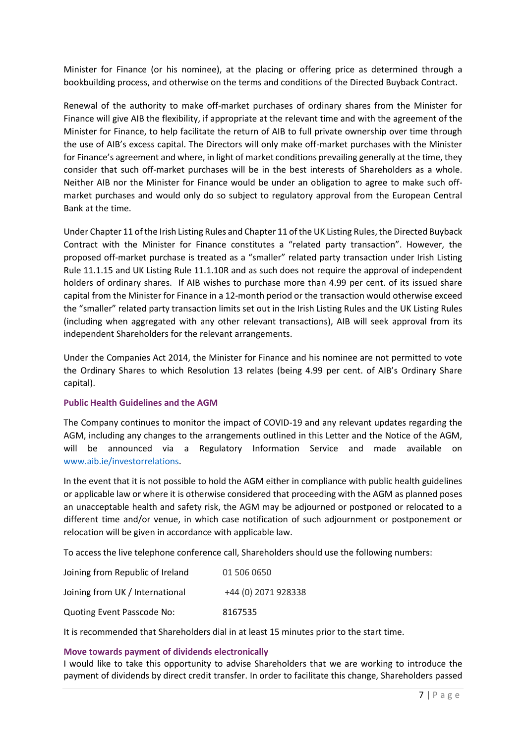Minister for Finance (or his nominee), at the placing or offering price as determined through a bookbuilding process, and otherwise on the terms and conditions of the Directed Buyback Contract.

Renewal of the authority to make off-market purchases of ordinary shares from the Minister for Finance will give AIB the flexibility, if appropriate at the relevant time and with the agreement of the Minister for Finance, to help facilitate the return of AIB to full private ownership over time through the use of AIB's excess capital. The Directors will only make off-market purchases with the Minister for Finance's agreement and where, in light of market conditions prevailing generally at the time, they consider that such off-market purchases will be in the best interests of Shareholders as a whole. Neither AIB nor the Minister for Finance would be under an obligation to agree to make such offmarket purchases and would only do so subject to regulatory approval from the European Central Bank at the time.

Under Chapter 11 of the Irish Listing Rules and Chapter 11 of the UK Listing Rules, the Directed Buyback Contract with the Minister for Finance constitutes a "related party transaction". However, the proposed off-market purchase is treated as a "smaller" related party transaction under Irish Listing Rule 11.1.15 and UK Listing Rule 11.1.10R and as such does not require the approval of independent holders of ordinary shares. If AIB wishes to purchase more than 4.99 per cent. of its issued share capital from the Minister for Finance in a 12-month period or the transaction would otherwise exceed the "smaller" related party transaction limits set out in the Irish Listing Rules and the UK Listing Rules (including when aggregated with any other relevant transactions), AIB will seek approval from its independent Shareholders for the relevant arrangements.

Under the Companies Act 2014, the Minister for Finance and his nominee are not permitted to vote the Ordinary Shares to which Resolution 13 relates (being 4.99 per cent. of AIB's Ordinary Share capital).

#### **Public Health Guidelines and the AGM**

The Company continues to monitor the impact of COVID-19 and any relevant updates regarding the AGM, including any changes to the arrangements outlined in this Letter and the Notice of the AGM, will be announced via a Regulatory Information Service and made available on [www.aib.ie/investorrelations.](http://www.aib.ie/investorrelations)

In the event that it is not possible to hold the AGM either in compliance with public health guidelines or applicable law or where it is otherwise considered that proceeding with the AGM as planned poses an unacceptable health and safety risk, the AGM may be adjourned or postponed or relocated to a different time and/or venue, in which case notification of such adjournment or postponement or relocation will be given in accordance with applicable law.

To access the live telephone conference call, Shareholders should use the following numbers:

| Joining from Republic of Ireland  | 01 506 0650         |
|-----------------------------------|---------------------|
| Joining from UK / International   | +44 (0) 2071 928338 |
| <b>Quoting Event Passcode No:</b> | 8167535             |

It is recommended that Shareholders dial in at least 15 minutes prior to the start time.

#### **Move towards payment of dividends electronically**

I would like to take this opportunity to advise Shareholders that we are working to introduce the payment of dividends by direct credit transfer. In order to facilitate this change, Shareholders passed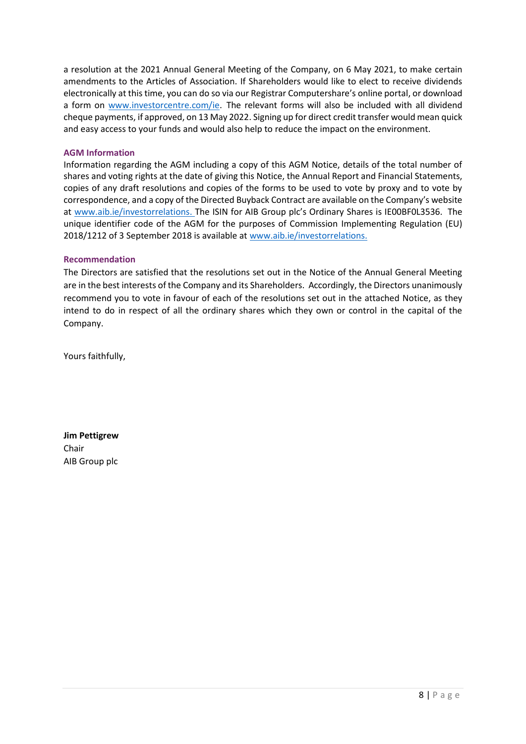a resolution at the 2021 Annual General Meeting of the Company, on 6 May 2021, to make certain amendments to the Articles of Association. If Shareholders would like to elect to receive dividends electronically at this time, you can do so via our Registrar Computershare's online portal, or download a form on [www.investorcentre.com/ie.](http://www.investorcentre.com/ie) The relevant forms will also be included with all dividend cheque payments, if approved, on 13 May 2022. Signing up for direct credit transfer would mean quick and easy access to your funds and would also help to reduce the impact on the environment.

#### **AGM Information**

Information regarding the AGM including a copy of this AGM Notice, details of the total number of shares and voting rights at the date of giving this Notice, the Annual Report and Financial Statements, copies of any draft resolutions and copies of the forms to be used to vote by proxy and to vote by correspondence, and a copy of the Directed Buyback Contract are available on the Company's website at [www.aib.ie/investorrelations.](http://www.aib.ie/investorrelations) The ISIN for AIB Group plc's Ordinary Shares is IE00BF0L3536. The unique identifier code of the AGM for the purposes of Commission Implementing Regulation (EU) 2018/1212 of 3 September 2018 is available at [www.aib.ie/investorrelations.](http://www.aib.ie/investorrelations)

#### **Recommendation**

The Directors are satisfied that the resolutions set out in the Notice of the Annual General Meeting are in the best interests of the Company and its Shareholders. Accordingly, the Directors unanimously recommend you to vote in favour of each of the resolutions set out in the attached Notice, as they intend to do in respect of all the ordinary shares which they own or control in the capital of the Company.

Yours faithfully,

**Jim Pettigrew** Chair AIB Group plc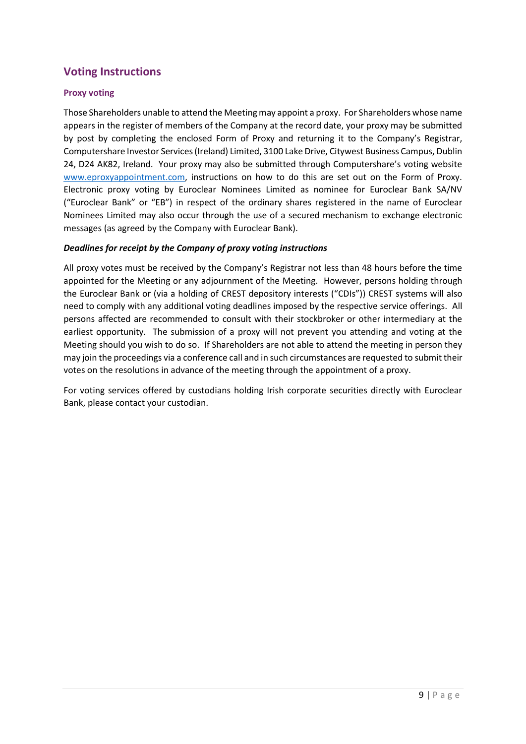## **Voting Instructions**

#### **Proxy voting**

Those Shareholders unable to attend the Meeting may appoint a proxy. For Shareholders whose name appears in the register of members of the Company at the record date, your proxy may be submitted by post by completing the enclosed Form of Proxy and returning it to the Company's Registrar, Computershare Investor Services (Ireland) Limited, 3100 Lake Drive, Citywest Business Campus, Dublin 24, D24 AK82, Ireland. Your proxy may also be submitted through Computershare's voting website [www.eproxyappointment.com,](http://www.eproxyappointment.com/) instructions on how to do this are set out on the Form of Proxy. Electronic proxy voting by Euroclear Nominees Limited as nominee for Euroclear Bank SA/NV ("Euroclear Bank" or "EB") in respect of the ordinary shares registered in the name of Euroclear Nominees Limited may also occur through the use of a secured mechanism to exchange electronic messages (as agreed by the Company with Euroclear Bank).

#### *Deadlines for receipt by the Company of proxy voting instructions*

All proxy votes must be received by the Company's Registrar not less than 48 hours before the time appointed for the Meeting or any adjournment of the Meeting. However, persons holding through the Euroclear Bank or (via a holding of CREST depository interests ("CDIs")) CREST systems will also need to comply with any additional voting deadlines imposed by the respective service offerings. All persons affected are recommended to consult with their stockbroker or other intermediary at the earliest opportunity. The submission of a proxy will not prevent you attending and voting at the Meeting should you wish to do so. If Shareholders are not able to attend the meeting in person they may join the proceedings via a conference call and in such circumstances are requested to submit their votes on the resolutions in advance of the meeting through the appointment of a proxy.

For voting services offered by custodians holding Irish corporate securities directly with Euroclear Bank, please contact your custodian.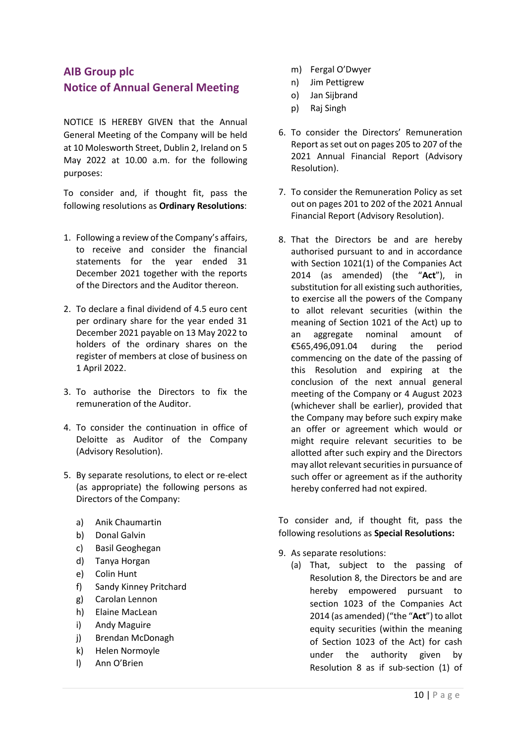## **AIB Group plc Notice of Annual General Meeting**

NOTICE IS HEREBY GIVEN that the Annual General Meeting of the Company will be held at 10 Molesworth Street, Dublin 2, Ireland on 5 May 2022 at 10.00 a.m. for the following purposes:

To consider and, if thought fit, pass the following resolutions as **Ordinary Resolutions**:

- 1. Following a review of the Company's affairs, to receive and consider the financial statements for the year ended 31 December 2021 together with the reports of the Directors and the Auditor thereon.
- 2. To declare a final dividend of 4.5 euro cent per ordinary share for the year ended 31 December 2021 payable on 13 May 2022 to holders of the ordinary shares on the register of members at close of business on 1 April 2022.
- 3. To authorise the Directors to fix the remuneration of the Auditor.
- 4. To consider the continuation in office of Deloitte as Auditor of the Company (Advisory Resolution).
- 5. By separate resolutions, to elect or re-elect (as appropriate) the following persons as Directors of the Company:
	- a) Anik Chaumartin
	- b) Donal Galvin
	- c) Basil Geoghegan
	- d) Tanya Horgan
	- e) Colin Hunt
	- f) Sandy Kinney Pritchard
	- g) Carolan Lennon
	- h) Elaine MacLean
	- i) Andy Maguire
	- j) Brendan McDonagh
	- k) Helen Normoyle
	- l) Ann O'Brien
- m) Fergal O'Dwyer
- n) Jim Pettigrew
- o) Jan Sijbrand
- p) Raj Singh
- 6. To consider the Directors' Remuneration Report as set out on pages 205 to 207 of the 2021 Annual Financial Report (Advisory Resolution).
- 7. To consider the Remuneration Policy as set out on pages 201 to 202 of the 2021 Annual Financial Report (Advisory Resolution).
- 8. That the Directors be and are hereby authorised pursuant to and in accordance with Section 1021(1) of the Companies Act 2014 (as amended) (the "**Act**"), in substitution for all existing such authorities, to exercise all the powers of the Company to allot relevant securities (within the meaning of Section 1021 of the Act) up to an aggregate nominal amount of €565,496,091.04 during the period commencing on the date of the passing of this Resolution and expiring at the conclusion of the next annual general meeting of the Company or 4 August 2023 (whichever shall be earlier), provided that the Company may before such expiry make an offer or agreement which would or might require relevant securities to be allotted after such expiry and the Directors may allot relevant securities in pursuance of such offer or agreement as if the authority hereby conferred had not expired.

To consider and, if thought fit, pass the following resolutions as **Special Resolutions:**

- 9. As separate resolutions:
	- (a) That, subject to the passing of Resolution 8, the Directors be and are hereby empowered pursuant to section 1023 of the Companies Act 2014 (as amended) ("the "**Act**") to allot equity securities (within the meaning of Section 1023 of the Act) for cash under the authority given by Resolution 8 as if sub-section (1) of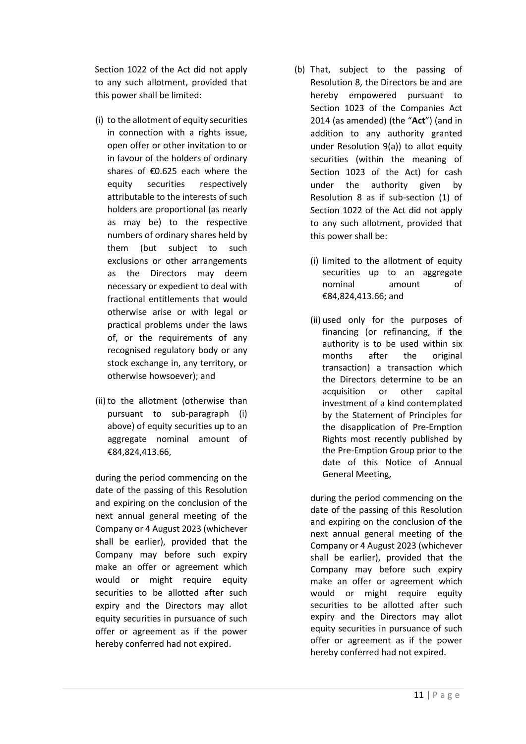Section 1022 of the Act did not apply to any such allotment, provided that this power shall be limited:

- (i) to the allotment of equity securities in connection with a rights issue, open offer or other invitation to or in favour of the holders of ordinary shares of €0.625 each where the equity securities respectively attributable to the interests of such holders are proportional (as nearly as may be) to the respective numbers of ordinary shares held by them (but subject to such exclusions or other arrangements as the Directors may deem necessary or expedient to deal with fractional entitlements that would otherwise arise or with legal or practical problems under the laws of, or the requirements of any recognised regulatory body or any stock exchange in, any territory, or otherwise howsoever); and
- (ii) to the allotment (otherwise than pursuant to sub-paragraph (i) above) of equity securities up to an aggregate nominal amount of €84,824,413.66,

during the period commencing on the date of the passing of this Resolution and expiring on the conclusion of the next annual general meeting of the Company or 4 August 2023 (whichever shall be earlier), provided that the Company may before such expiry make an offer or agreement which would or might require equity securities to be allotted after such expiry and the Directors may allot equity securities in pursuance of such offer or agreement as if the power hereby conferred had not expired.

- (b) That, subject to the passing of Resolution 8, the Directors be and are hereby empowered pursuant to Section 1023 of the Companies Act 2014 (as amended) (the "**Act**") (and in addition to any authority granted under Resolution 9(a)) to allot equity securities (within the meaning of Section 1023 of the Act) for cash under the authority given by Resolution 8 as if sub-section (1) of Section 1022 of the Act did not apply to any such allotment, provided that this power shall be:
	- (i) limited to the allotment of equity securities up to an aggregate nominal amount of €84,824,413.66; and
	- (ii) used only for the purposes of financing (or refinancing, if the authority is to be used within six months after the original transaction) a transaction which the Directors determine to be an acquisition or other capital investment of a kind contemplated by the Statement of Principles for the disapplication of Pre-Emption Rights most recently published by the Pre-Emption Group prior to the date of this Notice of Annual General Meeting,

during the period commencing on the date of the passing of this Resolution and expiring on the conclusion of the next annual general meeting of the Company or 4 August 2023 (whichever shall be earlier), provided that the Company may before such expiry make an offer or agreement which would or might require equity securities to be allotted after such expiry and the Directors may allot equity securities in pursuance of such offer or agreement as if the power hereby conferred had not expired.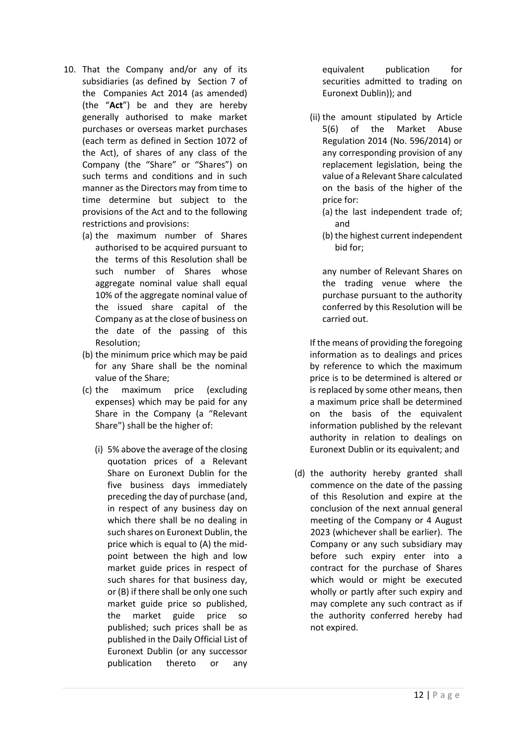- 10. That the Company and/or any of its subsidiaries (as defined by Section 7 of the Companies Act 2014 (as amended) (the "**Act**") be and they are hereby generally authorised to make market purchases or overseas market purchases (each term as defined in Section 1072 of the Act), of shares of any class of the Company (the "Share" or "Shares") on such terms and conditions and in such manner as the Directors may from time to time determine but subject to the provisions of the Act and to the following restrictions and provisions:
	- (a) the maximum number of Shares authorised to be acquired pursuant to the terms of this Resolution shall be such number of Shares whose aggregate nominal value shall equal 10% of the aggregate nominal value of the issued share capital of the Company as at the close of business on the date of the passing of this Resolution;
	- (b) the minimum price which may be paid for any Share shall be the nominal value of the Share;
	- (c) the maximum price (excluding expenses) which may be paid for any Share in the Company (a "Relevant Share") shall be the higher of:
		- (i) 5% above the average of the closing quotation prices of a Relevant Share on Euronext Dublin for the five business days immediately preceding the day of purchase (and, in respect of any business day on which there shall be no dealing in such shares on Euronext Dublin, the price which is equal to (A) the midpoint between the high and low market guide prices in respect of such shares for that business day, or (B) if there shall be only one such market guide price so published, the market guide price so published; such prices shall be as published in the Daily Official List of Euronext Dublin (or any successor publication thereto or any

equivalent publication for securities admitted to trading on Euronext Dublin)); and

- (ii) the amount stipulated by Article 5(6) of the Market Abuse Regulation 2014 (No. 596/2014) or any corresponding provision of any replacement legislation, being the value of a Relevant Share calculated on the basis of the higher of the price for:
	- (a) the last independent trade of; and
	- (b) the highest current independent bid for;

any number of Relevant Shares on the trading venue where the purchase pursuant to the authority conferred by this Resolution will be carried out.

If the means of providing the foregoing information as to dealings and prices by reference to which the maximum price is to be determined is altered or is replaced by some other means, then a maximum price shall be determined on the basis of the equivalent information published by the relevant authority in relation to dealings on Euronext Dublin or its equivalent; and

(d) the authority hereby granted shall commence on the date of the passing of this Resolution and expire at the conclusion of the next annual general meeting of the Company or 4 August 2023 (whichever shall be earlier). The Company or any such subsidiary may before such expiry enter into a contract for the purchase of Shares which would or might be executed wholly or partly after such expiry and may complete any such contract as if the authority conferred hereby had not expired.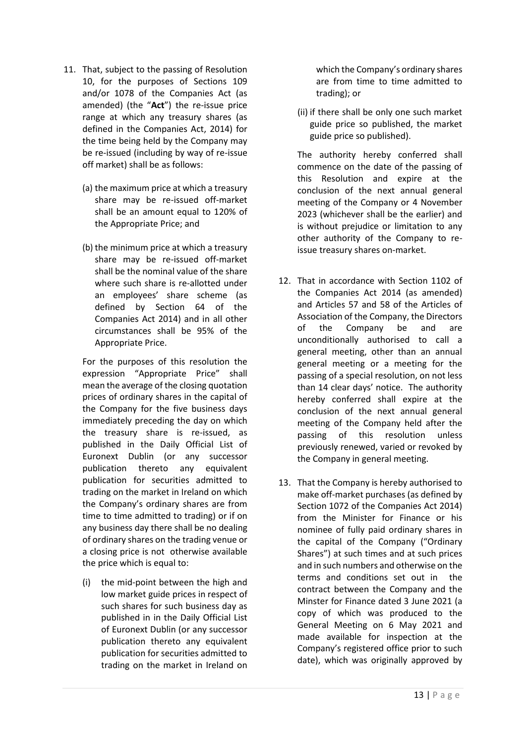- 11. That, subject to the passing of Resolution 10, for the purposes of Sections 109 and/or 1078 of the Companies Act (as amended) (the "**Act**") the re-issue price range at which any treasury shares (as defined in the Companies Act, 2014) for the time being held by the Company may be re-issued (including by way of re-issue off market) shall be as follows:
	- (a) the maximum price at which a treasury share may be re-issued off-market shall be an amount equal to 120% of the Appropriate Price; and
	- (b) the minimum price at which a treasury share may be re-issued off-market shall be the nominal value of the share where such share is re-allotted under an employees' share scheme (as defined by Section 64 of the Companies Act 2014) and in all other circumstances shall be 95% of the Appropriate Price.

For the purposes of this resolution the expression "Appropriate Price" shall mean the average of the closing quotation prices of ordinary shares in the capital of the Company for the five business days immediately preceding the day on which the treasury share is re-issued, as published in the Daily Official List of Euronext Dublin (or any successor publication thereto any equivalent publication for securities admitted to trading on the market in Ireland on which the Company's ordinary shares are from time to time admitted to trading) or if on any business day there shall be no dealing of ordinary shares on the trading venue or a closing price is not otherwise available the price which is equal to:

(i) the mid-point between the high and low market guide prices in respect of such shares for such business day as published in in the Daily Official List of Euronext Dublin (or any successor publication thereto any equivalent publication for securities admitted to trading on the market in Ireland on which the Company's ordinary shares are from time to time admitted to trading); or

(ii) if there shall be only one such market guide price so published, the market guide price so published).

The authority hereby conferred shall commence on the date of the passing of this Resolution and expire at the conclusion of the next annual general meeting of the Company or 4 November 2023 (whichever shall be the earlier) and is without prejudice or limitation to any other authority of the Company to reissue treasury shares on-market.

- 12. That in accordance with Section 1102 of the Companies Act 2014 (as amended) and Articles 57 and 58 of the Articles of Association of the Company, the Directors of the Company be and are unconditionally authorised to call a general meeting, other than an annual general meeting or a meeting for the passing of a special resolution, on not less than 14 clear days' notice. The authority hereby conferred shall expire at the conclusion of the next annual general meeting of the Company held after the passing of this resolution unless previously renewed, varied or revoked by the Company in general meeting.
- 13. That the Company is hereby authorised to make off-market purchases (as defined by Section 1072 of the Companies Act 2014) from the Minister for Finance or his nominee of fully paid ordinary shares in the capital of the Company ("Ordinary Shares") at such times and at such prices and in such numbers and otherwise on the terms and conditions set out in the contract between the Company and the Minster for Finance dated 3 June 2021 (a copy of which was produced to the General Meeting on 6 May 2021 and made available for inspection at the Company's registered office prior to such date), which was originally approved by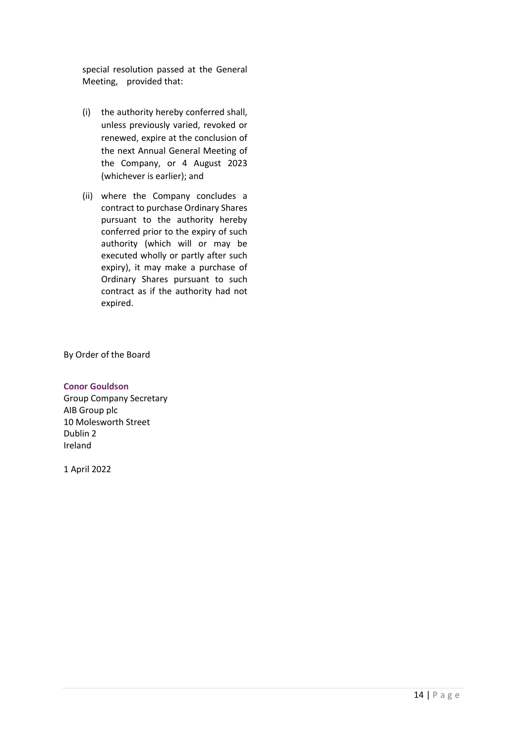special resolution passed at the General Meeting, provided that:

- (i) the authority hereby conferred shall, unless previously varied, revoked or renewed, expire at the conclusion of the next Annual General Meeting of the Company, or 4 August 2023 (whichever is earlier); and
- (ii) where the Company concludes a contract to purchase Ordinary Shares pursuant to the authority hereby conferred prior to the expiry of such authority (which will or may be executed wholly or partly after such expiry), it may make a purchase of Ordinary Shares pursuant to such contract as if the authority had not expired.

By Order of the Board

**Conor Gouldson**  Group Company Secretary AIB Group plc 10 Molesworth Street Dublin 2 Ireland

1 April 2022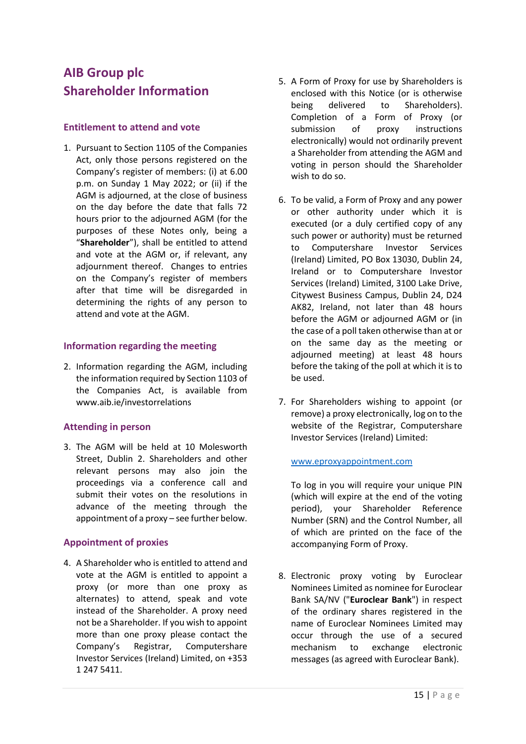# **AIB Group plc Shareholder Information**

### **Entitlement to attend and vote**

1. Pursuant to Section 1105 of the Companies Act, only those persons registered on the Company's register of members: (i) at 6.00 p.m. on Sunday 1 May 2022; or (ii) if the AGM is adjourned, at the close of business on the day before the date that falls 72 hours prior to the adjourned AGM (for the purposes of these Notes only, being a "**Shareholder**"), shall be entitled to attend and vote at the AGM or, if relevant, any adjournment thereof. Changes to entries on the Company's register of members after that time will be disregarded in determining the rights of any person to attend and vote at the AGM.

#### **Information regarding the meeting**

2. Information regarding the AGM, including the information required by Section 1103 of the Companies Act, is available from www.aib.ie/investorrelations

## **Attending in person**

3. The AGM will be held at 10 Molesworth Street, Dublin 2. Shareholders and other relevant persons may also join the proceedings via a conference call and submit their votes on the resolutions in advance of the meeting through the appointment of a proxy – see further below.

## **Appointment of proxies**

4. A Shareholder who is entitled to attend and vote at the AGM is entitled to appoint a proxy (or more than one proxy as alternates) to attend, speak and vote instead of the Shareholder. A proxy need not be a Shareholder. If you wish to appoint more than one proxy please contact the Company's Registrar, Computershare Investor Services (Ireland) Limited, on +353 1 247 5411.

- 5. A Form of Proxy for use by Shareholders is enclosed with this Notice (or is otherwise being delivered to Shareholders). Completion of a Form of Proxy (or submission of proxy instructions electronically) would not ordinarily prevent a Shareholder from attending the AGM and voting in person should the Shareholder wish to do so.
- 6. To be valid, a Form of Proxy and any power or other authority under which it is executed (or a duly certified copy of any such power or authority) must be returned to Computershare Investor Services (Ireland) Limited, PO Box 13030, Dublin 24, Ireland or to Computershare Investor Services (Ireland) Limited, 3100 Lake Drive, Citywest Business Campus, Dublin 24, D24 AK82, Ireland, not later than 48 hours before the AGM or adjourned AGM or (in the case of a poll taken otherwise than at or on the same day as the meeting or adjourned meeting) at least 48 hours before the taking of the poll at which it is to be used.
- 7. For Shareholders wishing to appoint (or remove) a proxy electronically, log on to the website of the Registrar, Computershare Investor Services (Ireland) Limited:

#### [www.eproxyappointment.com](http://www.eproxyappointment.com/)

To log in you will require your unique PIN (which will expire at the end of the voting period), your Shareholder Reference Number (SRN) and the Control Number, all of which are printed on the face of the accompanying Form of Proxy.

8. Electronic proxy voting by Euroclear Nominees Limited as nominee for Euroclear Bank SA/NV ("**Euroclear Bank**") in respect of the ordinary shares registered in the name of Euroclear Nominees Limited may occur through the use of a secured mechanism to exchange electronic messages (as agreed with Euroclear Bank).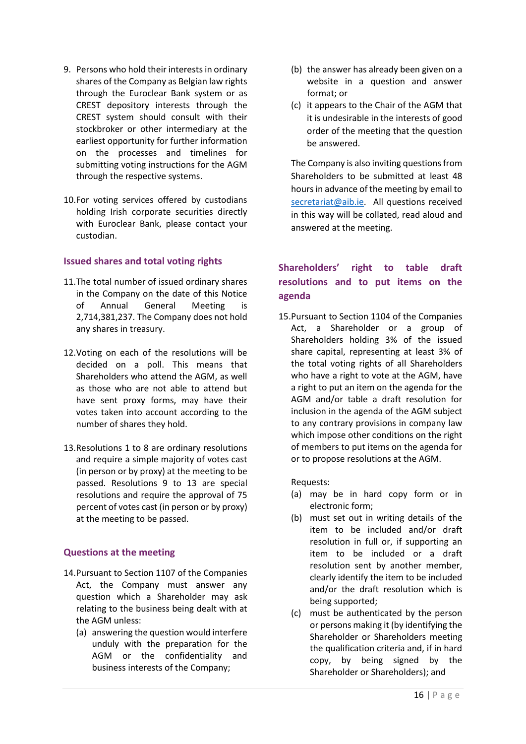- 9. Persons who hold their interests in ordinary shares of the Company as Belgian law rights through the Euroclear Bank system or as CREST depository interests through the CREST system should consult with their stockbroker or other intermediary at the earliest opportunity for further information on the processes and timelines for submitting voting instructions for the AGM through the respective systems.
- 10.For voting services offered by custodians holding Irish corporate securities directly with Euroclear Bank, please contact your custodian.

#### **Issued shares and total voting rights**

- 11.The total number of issued ordinary shares in the Company on the date of this Notice of Annual General Meeting is 2,714,381,237. The Company does not hold any shares in treasury.
- 12.Voting on each of the resolutions will be decided on a poll. This means that Shareholders who attend the AGM, as well as those who are not able to attend but have sent proxy forms, may have their votes taken into account according to the number of shares they hold.
- 13.Resolutions 1 to 8 are ordinary resolutions and require a simple majority of votes cast (in person or by proxy) at the meeting to be passed. Resolutions 9 to 13 are special resolutions and require the approval of 75 percent of votes cast (in person or by proxy) at the meeting to be passed.

#### **Questions at the meeting**

- 14.Pursuant to Section 1107 of the Companies Act, the Company must answer any question which a Shareholder may ask relating to the business being dealt with at the AGM unless:
	- (a) answering the question would interfere unduly with the preparation for the AGM or the confidentiality and business interests of the Company;
- (b) the answer has already been given on a website in a question and answer format; or
- (c) it appears to the Chair of the AGM that it is undesirable in the interests of good order of the meeting that the question be answered.

The Company is also inviting questions from Shareholders to be submitted at least 48 hours in advance of the meeting by email to [secretariat@aib.ie.](mailto:secretariat@aib.ie) All questions received in this way will be collated, read aloud and answered at the meeting.

## **Shareholders' right to table draft resolutions and to put items on the agenda**

15.Pursuant to Section 1104 of the Companies Act, a Shareholder or a group of Shareholders holding 3% of the issued share capital, representing at least 3% of the total voting rights of all Shareholders who have a right to vote at the AGM, have a right to put an item on the agenda for the AGM and/or table a draft resolution for inclusion in the agenda of the AGM subject to any contrary provisions in company law which impose other conditions on the right of members to put items on the agenda for or to propose resolutions at the AGM.

Requests:

- (a) may be in hard copy form or in electronic form;
- (b) must set out in writing details of the item to be included and/or draft resolution in full or, if supporting an item to be included or a draft resolution sent by another member, clearly identify the item to be included and/or the draft resolution which is being supported;
- (c) must be authenticated by the person or persons making it (by identifying the Shareholder or Shareholders meeting the qualification criteria and, if in hard copy, by being signed by the Shareholder or Shareholders); and